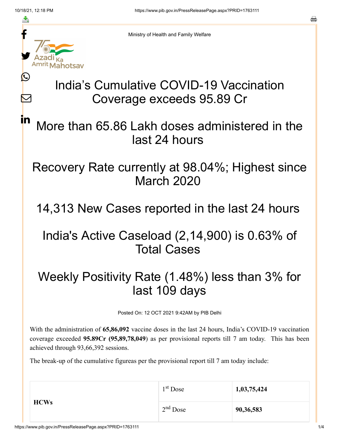≛

Ŀ

 $\bm{\nabla}$ 

<u>in</u>



Ministry of Health and Family Welfare

# India's Cumulative COVID-19 Vaccination Coverage exceeds 95.89 Cr

More than 65.86 Lakh doses administered in the last 24 hours

#### Recovery Rate currently at 98.04%; Highest since March 2020

14,313 New Cases reported in the last 24 hours

## India's Active Caseload (2,14,900) is 0.63% of Total Cases

## Weekly Positivity Rate (1.48%) less than 3% for last 109 days

Posted On: 12 OCT 2021 9:42AM by PIB Delhi

With the administration of **65,86,092** vaccine doses in the last 24 hours, India's COVID-19 vaccination coverage exceeded **95.89Cr (95,89,78,049**) as per provisional reports till 7 am today. This has been achieved through 93,66,392 sessions.

The break-up of the cumulative figureas per the provisional report till 7 am today include:

|             | $1st$ Dose | 1,03,75,424 |
|-------------|------------|-------------|
| <b>HCWs</b> | $2nd$ Dose | 90,36,583   |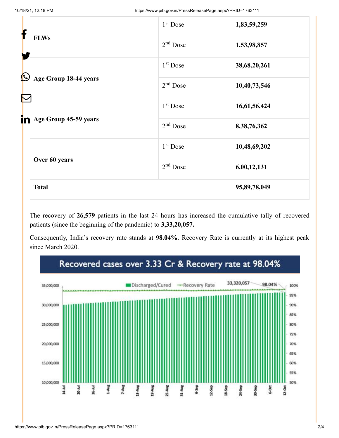| f            |                       | 1 <sup>st</sup> Dose | 1,83,59,259  |
|--------------|-----------------------|----------------------|--------------|
|              | <b>FLWs</b>           | $2nd$ Dose           | 1,53,98,857  |
| $\bf \Omega$ |                       | 1 <sup>st</sup> Dose | 38,68,20,261 |
|              | Age Group 18-44 years | $2nd$ Dose           | 10,40,73,546 |
|              |                       | 1 <sup>st</sup> Dose | 16,61,56,424 |
| in           | Age Group 45-59 years | $2nd$ Dose           | 8,38,76,362  |
|              |                       | $1st$ Dose           | 10,48,69,202 |
|              | Over 60 years         | $2nd$ Dose           | 6,00,12,131  |
|              | <b>Total</b>          |                      | 95,89,78,049 |

The recovery of **26,579** patients in the last 24 hours has increased the cumulative tally of recovered patients (since the beginning of the pandemic) to **3,33,20,057.**

Consequently, India's recovery rate stands at **98.04%**. Recovery Rate is currently at its highest peak since March 2020.

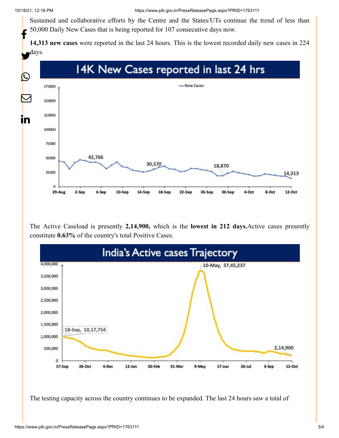Sustained and collaborative efforts by the Centre and the States/UTs continue the trend of less than 50,000 Daily New Cases that is being reported for 107 consecutive days now. f

**14,313 new cases** were reported in the last 24 hours. This is the lowest recorded daily new cases in 224



The Active Caseload is presently **2,14,900,** which is the **lowest in 212 days.**Active cases presently constitute **0.63%** of the country's total Positive Cases.



The testing capacity across the country continues to be expanded. The last 24 hours saw a total of